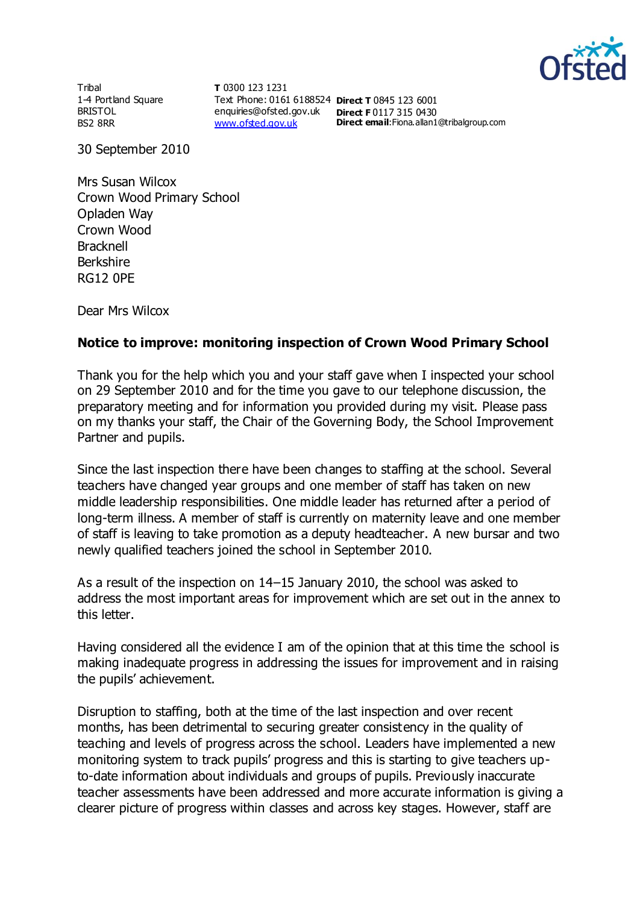

**Tribal** 1-4 Portland Square BRISTOL BS2 8RR

**T** 0300 123 1231 Text Phone: 0161 6188524 **Direct T** 0845 123 6001 enquiries@ofsted.gov.uk **Direct F** 0117 315 0430 [www.ofsted.gov.uk](http://www.ofsted.gov.uk/)

**Direct email**:Fiona.allan1@tribalgroup.com

30 September 2010

Mrs Susan Wilcox Crown Wood Primary School Opladen Way Crown Wood **Bracknell** Berkshire RG12 0PE

Dear Mrs Wilcox

## **Notice to improve: monitoring inspection of Crown Wood Primary School**

Thank you for the help which you and your staff gave when I inspected your school on 29 September 2010 and for the time you gave to our telephone discussion, the preparatory meeting and for information you provided during my visit. Please pass on my thanks your staff, the Chair of the Governing Body, the School Improvement Partner and pupils.

Since the last inspection there have been changes to staffing at the school. Several teachers have changed year groups and one member of staff has taken on new middle leadership responsibilities. One middle leader has returned after a period of long-term illness. A member of staff is currently on maternity leave and one member of staff is leaving to take promotion as a deputy headteacher. A new bursar and two newly qualified teachers joined the school in September 2010.

As a result of the inspection on 14–15 January 2010, the school was asked to address the most important areas for improvement which are set out in the annex to this letter.

Having considered all the evidence I am of the opinion that at this time the school is making inadequate progress in addressing the issues for improvement and in raising the pupils' achievement.

Disruption to staffing, both at the time of the last inspection and over recent months, has been detrimental to securing greater consistency in the quality of teaching and levels of progress across the school. Leaders have implemented a new monitoring system to track pupils' progress and this is starting to give teachers upto-date information about individuals and groups of pupils. Previously inaccurate teacher assessments have been addressed and more accurate information is giving a clearer picture of progress within classes and across key stages. However, staff are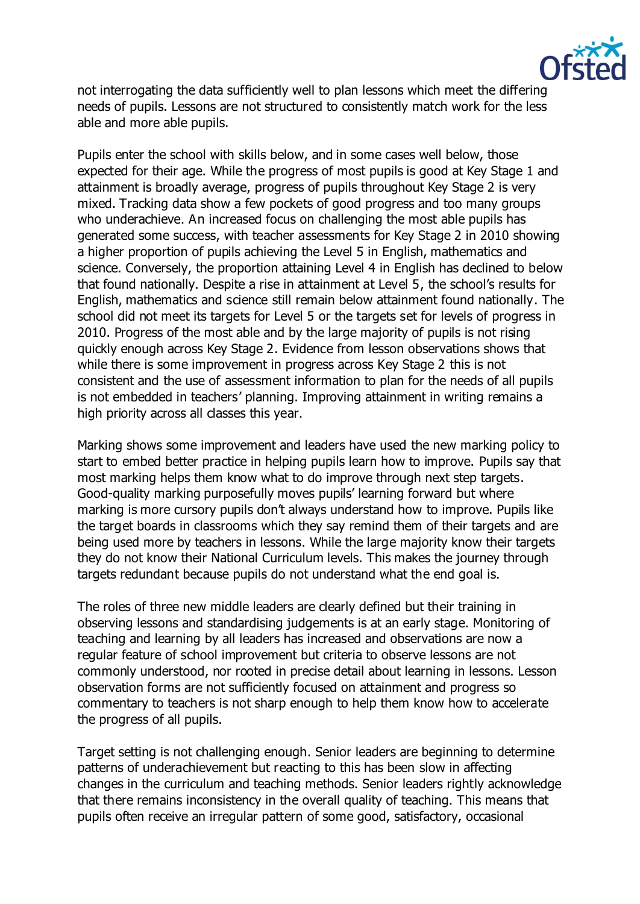

not interrogating the data sufficiently well to plan lessons which meet the differing needs of pupils. Lessons are not structured to consistently match work for the less able and more able pupils.

Pupils enter the school with skills below, and in some cases well below, those expected for their age. While the progress of most pupils is good at Key Stage 1 and attainment is broadly average, progress of pupils throughout Key Stage 2 is very mixed. Tracking data show a few pockets of good progress and too many groups who underachieve. An increased focus on challenging the most able pupils has generated some success, with teacher assessments for Key Stage 2 in 2010 showing a higher proportion of pupils achieving the Level 5 in English, mathematics and science. Conversely, the proportion attaining Level 4 in English has declined to below that found nationally. Despite a rise in attainment at Level 5, the school's results for English, mathematics and science still remain below attainment found nationally. The school did not meet its targets for Level 5 or the targets set for levels of progress in 2010. Progress of the most able and by the large majority of pupils is not rising quickly enough across Key Stage 2. Evidence from lesson observations shows that while there is some improvement in progress across Key Stage 2 this is not consistent and the use of assessment information to plan for the needs of all pupils is not embedded in teachers' planning. Improving attainment in writing remains a high priority across all classes this year.

Marking shows some improvement and leaders have used the new marking policy to start to embed better practice in helping pupils learn how to improve. Pupils say that most marking helps them know what to do improve through next step targets. Good-quality marking purposefully moves pupils' learning forward but where marking is more cursory pupils don't always understand how to improve. Pupils like the target boards in classrooms which they say remind them of their targets and are being used more by teachers in lessons. While the large majority know their targets they do not know their National Curriculum levels. This makes the journey through targets redundant because pupils do not understand what the end goal is.

The roles of three new middle leaders are clearly defined but their training in observing lessons and standardising judgements is at an early stage. Monitoring of teaching and learning by all leaders has increased and observations are now a regular feature of school improvement but criteria to observe lessons are not commonly understood, nor rooted in precise detail about learning in lessons. Lesson observation forms are not sufficiently focused on attainment and progress so commentary to teachers is not sharp enough to help them know how to accelerate the progress of all pupils.

Target setting is not challenging enough. Senior leaders are beginning to determine patterns of underachievement but reacting to this has been slow in affecting changes in the curriculum and teaching methods. Senior leaders rightly acknowledge that there remains inconsistency in the overall quality of teaching. This means that pupils often receive an irregular pattern of some good, satisfactory, occasional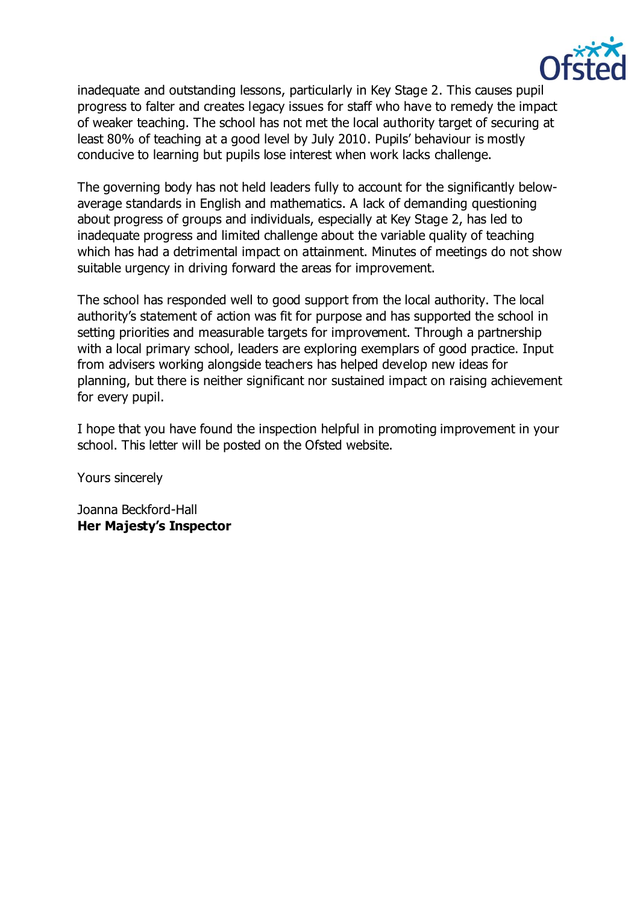

inadequate and outstanding lessons, particularly in Key Stage 2. This causes pupil progress to falter and creates legacy issues for staff who have to remedy the impact of weaker teaching. The school has not met the local authority target of securing at least 80% of teaching at a good level by July 2010. Pupils' behaviour is mostly conducive to learning but pupils lose interest when work lacks challenge.

The governing body has not held leaders fully to account for the significantly belowaverage standards in English and mathematics. A lack of demanding questioning about progress of groups and individuals, especially at Key Stage 2, has led to inadequate progress and limited challenge about the variable quality of teaching which has had a detrimental impact on attainment. Minutes of meetings do not show suitable urgency in driving forward the areas for improvement.

The school has responded well to good support from the local authority. The local authority's statement of action was fit for purpose and has supported the school in setting priorities and measurable targets for improvement. Through a partnership with a local primary school, leaders are exploring exemplars of good practice. Input from advisers working alongside teachers has helped develop new ideas for planning, but there is neither significant nor sustained impact on raising achievement for every pupil.

I hope that you have found the inspection helpful in promoting improvement in your school. This letter will be posted on the Ofsted website.

Yours sincerely

Joanna Beckford-Hall **Her Majesty's Inspector**